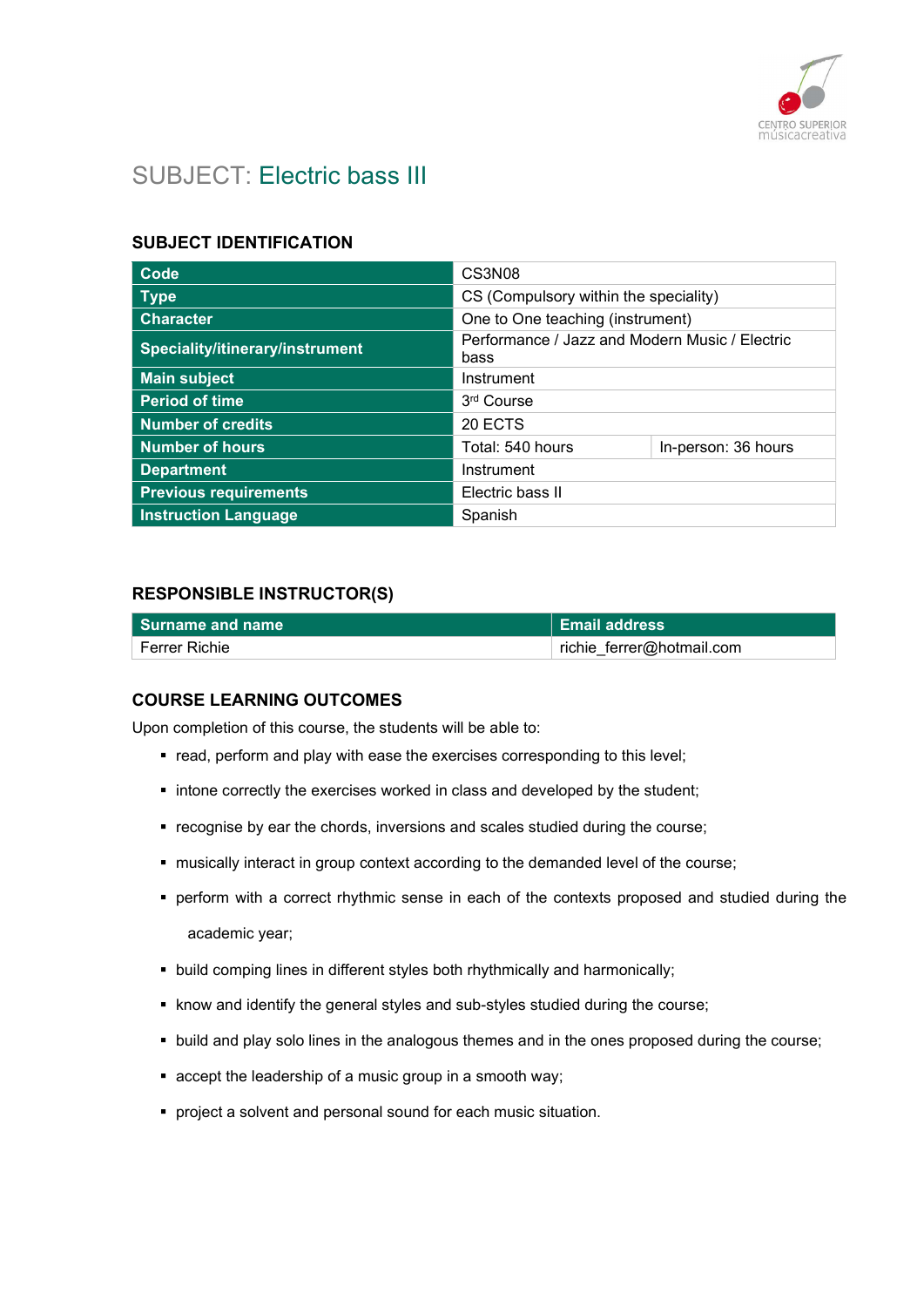

# SUBJECT: Electric bass III

### SUBJECT IDENTIFICATION

| Code                            | CS3N08                                                 |                     |
|---------------------------------|--------------------------------------------------------|---------------------|
| <b>Type</b>                     | CS (Compulsory within the speciality)                  |                     |
| <b>Character</b>                | One to One teaching (instrument)                       |                     |
| Speciality/itinerary/instrument | Performance / Jazz and Modern Music / Electric<br>bass |                     |
| <b>Main subject</b>             | Instrument                                             |                     |
| <b>Period of time</b>           | 3 <sup>rd</sup> Course                                 |                     |
| <b>Number of credits</b>        | 20 ECTS                                                |                     |
| <b>Number of hours</b>          | Total: 540 hours                                       | In-person: 36 hours |
| <b>Department</b>               | Instrument                                             |                     |
| <b>Previous requirements</b>    | Electric bass II                                       |                     |
| <b>Instruction Language</b>     | Spanish                                                |                     |

#### RESPONSIBLE INSTRUCTOR(S)

| l Surname and name | <b>Email address</b>      |
|--------------------|---------------------------|
| ์ Ferrer Richie    | richie_ferrer@hotmail.com |

#### COURSE LEARNING OUTCOMES

Upon completion of this course, the students will be able to:

- **•** read, perform and play with ease the exercises corresponding to this level;
- **Intone correctly the exercises worked in class and developed by the student;**
- recognise by ear the chords, inversions and scales studied during the course;
- musically interact in group context according to the demanded level of the course;
- perform with a correct rhythmic sense in each of the contexts proposed and studied during the academic year;
- **•** build comping lines in different styles both rhythmically and harmonically;
- know and identify the general styles and sub-styles studied during the course;
- **build and play solo lines in the analogous themes and in the ones proposed during the course;**
- accept the leadership of a music group in a smooth way;
- **•** project a solvent and personal sound for each music situation.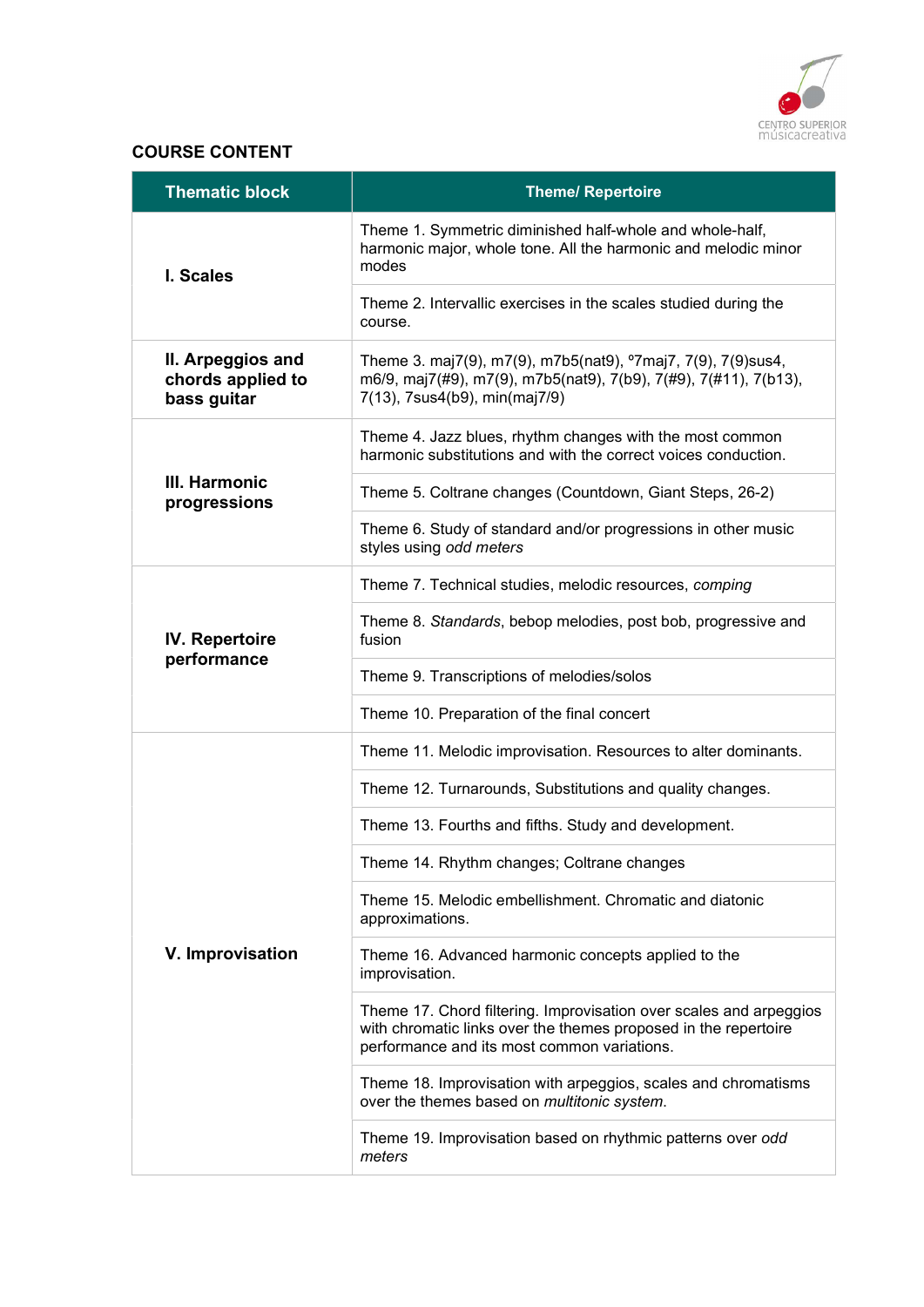

# COURSE CONTENT

| <b>Thematic block</b>                                 | <b>Theme/ Repertoire</b>                                                                                                                                                             |
|-------------------------------------------------------|--------------------------------------------------------------------------------------------------------------------------------------------------------------------------------------|
| I. Scales                                             | Theme 1. Symmetric diminished half-whole and whole-half,<br>harmonic major, whole tone. All the harmonic and melodic minor<br>modes                                                  |
|                                                       | Theme 2. Intervallic exercises in the scales studied during the<br>course.                                                                                                           |
| II. Arpeggios and<br>chords applied to<br>bass guitar | Theme 3. maj7(9), m7(9), m7b5(nat9), °7maj7, 7(9), 7(9)sus4,<br>m6/9, maj7(#9), m7(9), m7b5(nat9), 7(b9), 7(#9), 7(#11), 7(b13),<br>7(13), 7sus4(b9), min(maj7/9)                    |
|                                                       | Theme 4. Jazz blues, rhythm changes with the most common<br>harmonic substitutions and with the correct voices conduction.                                                           |
| III. Harmonic<br>progressions                         | Theme 5. Coltrane changes (Countdown, Giant Steps, 26-2)                                                                                                                             |
|                                                       | Theme 6. Study of standard and/or progressions in other music<br>styles using odd meters                                                                                             |
|                                                       | Theme 7. Technical studies, melodic resources, comping                                                                                                                               |
| <b>IV. Repertoire</b>                                 | Theme 8. Standards, bebop melodies, post bob, progressive and<br>fusion                                                                                                              |
| performance                                           | Theme 9. Transcriptions of melodies/solos                                                                                                                                            |
|                                                       | Theme 10. Preparation of the final concert                                                                                                                                           |
|                                                       | Theme 11. Melodic improvisation. Resources to alter dominants.                                                                                                                       |
|                                                       | Theme 12. Turnarounds, Substitutions and quality changes.                                                                                                                            |
|                                                       | Theme 13. Fourths and fifths. Study and development.                                                                                                                                 |
|                                                       | Theme 14. Rhythm changes; Coltrane changes                                                                                                                                           |
|                                                       | Theme 15. Melodic embellishment. Chromatic and diatonic<br>approximations.                                                                                                           |
| V. Improvisation                                      | Theme 16. Advanced harmonic concepts applied to the<br>improvisation.                                                                                                                |
|                                                       | Theme 17. Chord filtering. Improvisation over scales and arpeggios<br>with chromatic links over the themes proposed in the repertoire<br>performance and its most common variations. |
|                                                       | Theme 18. Improvisation with arpeggios, scales and chromatisms<br>over the themes based on multitonic system.                                                                        |
|                                                       | Theme 19. Improvisation based on rhythmic patterns over odd<br>meters                                                                                                                |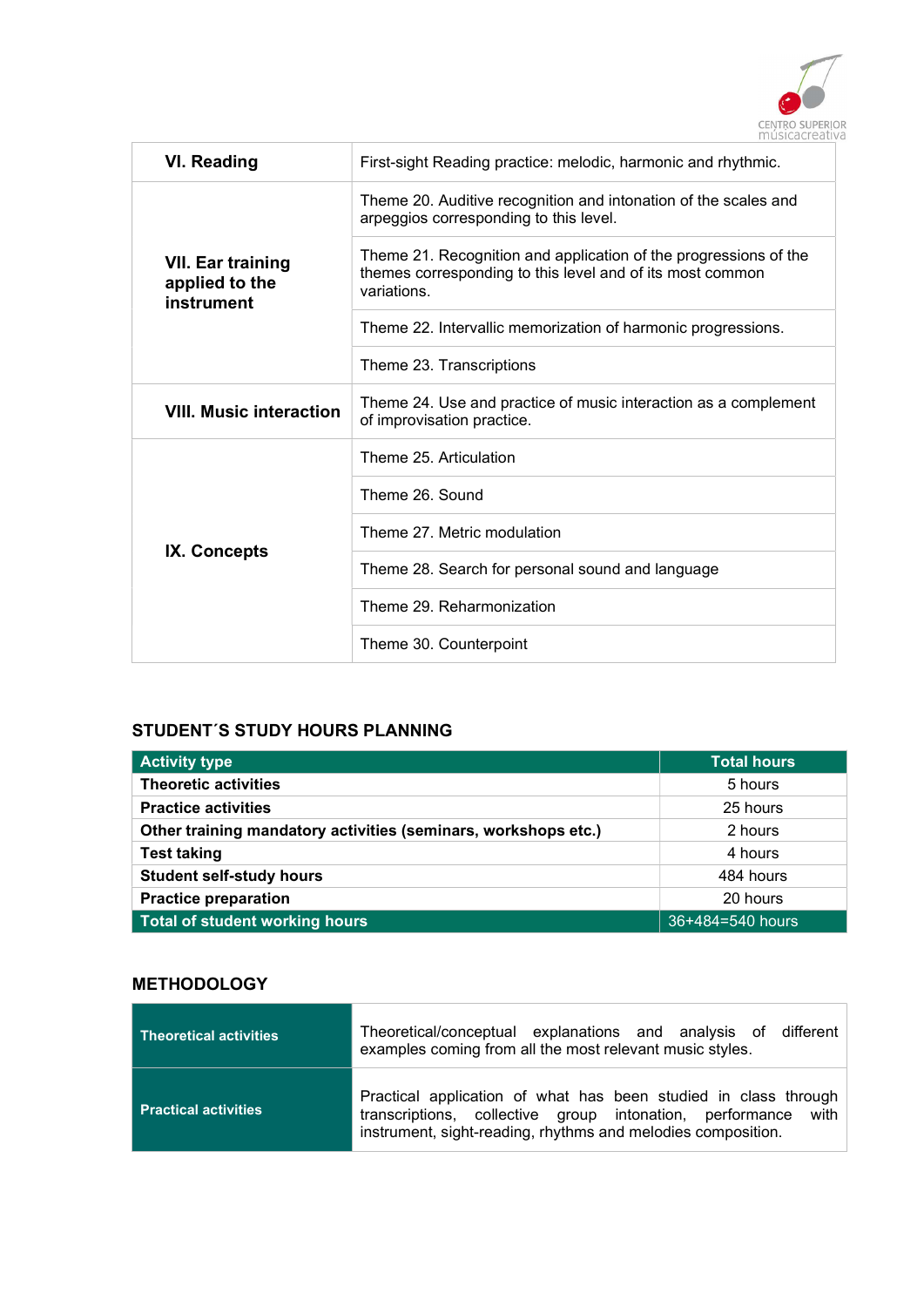

| <b>VI. Reading</b>                                       | First-sight Reading practice: melodic, harmonic and rhythmic.                                                                                |
|----------------------------------------------------------|----------------------------------------------------------------------------------------------------------------------------------------------|
|                                                          | Theme 20. Auditive recognition and intonation of the scales and<br>arpeggios corresponding to this level.                                    |
| <b>VII. Ear training</b><br>applied to the<br>instrument | Theme 21. Recognition and application of the progressions of the<br>themes corresponding to this level and of its most common<br>variations. |
|                                                          | Theme 22. Intervallic memorization of harmonic progressions.                                                                                 |
|                                                          | Theme 23. Transcriptions                                                                                                                     |
| <b>VIII. Music interaction</b>                           | Theme 24. Use and practice of music interaction as a complement<br>of improvisation practice.                                                |
|                                                          | Theme 25. Articulation                                                                                                                       |
|                                                          | Theme 26, Sound                                                                                                                              |
|                                                          | Theme 27. Metric modulation                                                                                                                  |
| IX. Concepts                                             | Theme 28. Search for personal sound and language                                                                                             |
|                                                          | Theme 29. Reharmonization                                                                                                                    |
|                                                          | Theme 30. Counterpoint                                                                                                                       |

# STUDENT´S STUDY HOURS PLANNING

| <b>Activity type</b>                                           | <b>Total hours</b> |
|----------------------------------------------------------------|--------------------|
| <b>Theoretic activities</b>                                    | 5 hours            |
| <b>Practice activities</b>                                     | 25 hours           |
| Other training mandatory activities (seminars, workshops etc.) | 2 hours            |
| <b>Test taking</b>                                             | 4 hours            |
| <b>Student self-study hours</b>                                | 484 hours          |
| <b>Practice preparation</b>                                    | 20 hours           |
| Total of student working hours                                 | 36+484=540 hours   |

# **METHODOLOGY**

| Theoretical activities      | Theoretical/conceptual explanations and analysis of different<br>examples coming from all the most relevant music styles.                                                                        |
|-----------------------------|--------------------------------------------------------------------------------------------------------------------------------------------------------------------------------------------------|
| <b>Practical activities</b> | Practical application of what has been studied in class through<br>transcriptions, collective group intonation, performance with<br>instrument, sight-reading, rhythms and melodies composition. |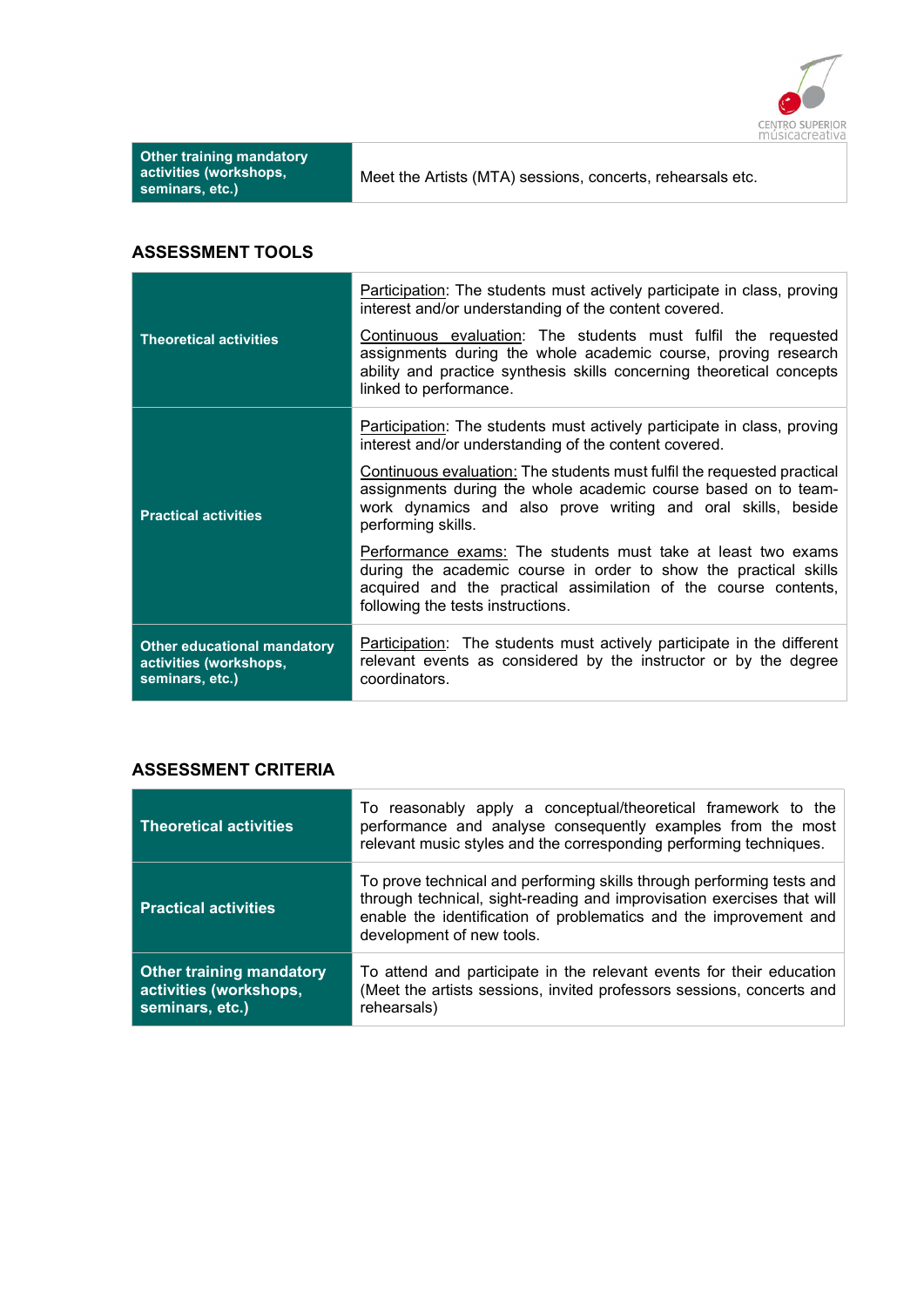

| <b>Other training mandatory</b><br>activities (workshops,<br>seminars, etc.) | Meet the Artists (MTA) sessions, concerts, rehearsals etc. |
|------------------------------------------------------------------------------|------------------------------------------------------------|
|------------------------------------------------------------------------------|------------------------------------------------------------|

# ASSESSMENT TOOLS

|                                                                                 | Participation: The students must actively participate in class, proving<br>interest and/or understanding of the content covered.                                                                                                         |
|---------------------------------------------------------------------------------|------------------------------------------------------------------------------------------------------------------------------------------------------------------------------------------------------------------------------------------|
| <b>Theoretical activities</b>                                                   | Continuous evaluation: The students must fulfil the requested<br>assignments during the whole academic course, proving research<br>ability and practice synthesis skills concerning theoretical concepts<br>linked to performance.       |
|                                                                                 | Participation: The students must actively participate in class, proving<br>interest and/or understanding of the content covered.                                                                                                         |
| <b>Practical activities</b>                                                     | Continuous evaluation: The students must fulfil the requested practical<br>assignments during the whole academic course based on to team-<br>work dynamics and also prove writing and oral skills, beside<br>performing skills.          |
|                                                                                 | Performance exams: The students must take at least two exams<br>during the academic course in order to show the practical skills<br>acquired and the practical assimilation of the course contents,<br>following the tests instructions. |
| <b>Other educational mandatory</b><br>activities (workshops,<br>seminars, etc.) | <b>Participation:</b> The students must actively participate in the different<br>relevant events as considered by the instructor or by the degree<br>coordinators.                                                                       |

### ASSESSMENT CRITERIA

| <b>Theoretical activities</b>                                                | To reasonably apply a conceptual/theoretical framework to the<br>performance and analyse consequently examples from the most<br>relevant music styles and the corresponding performing techniques.                                                |
|------------------------------------------------------------------------------|---------------------------------------------------------------------------------------------------------------------------------------------------------------------------------------------------------------------------------------------------|
| <b>Practical activities</b>                                                  | To prove technical and performing skills through performing tests and<br>through technical, sight-reading and improvisation exercises that will<br>enable the identification of problematics and the improvement and<br>development of new tools. |
| <b>Other training mandatory</b><br>activities (workshops,<br>seminars, etc.) | To attend and participate in the relevant events for their education<br>(Meet the artists sessions, invited professors sessions, concerts and<br>rehearsals)                                                                                      |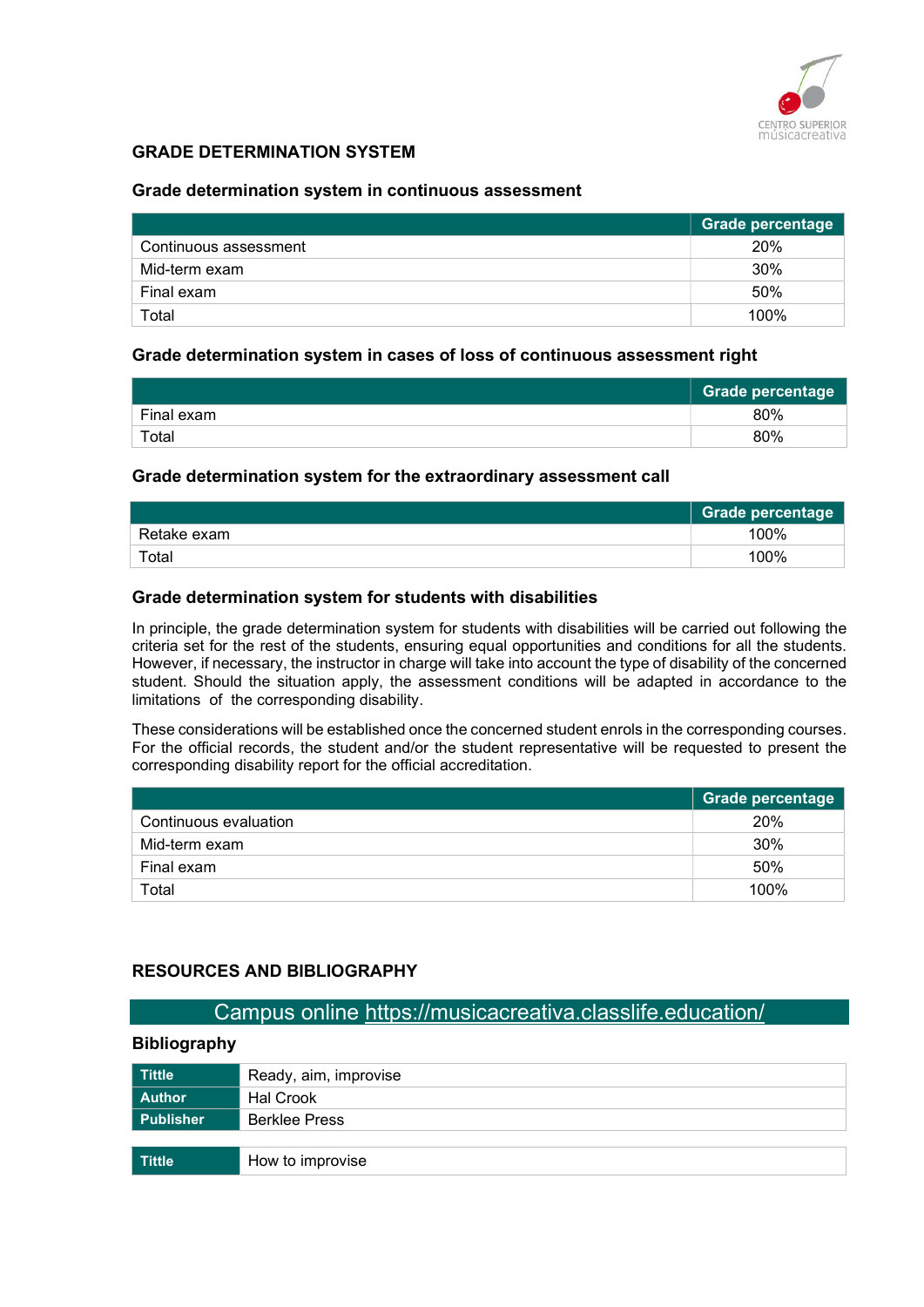

### GRADE DETERMINATION SYSTEM

#### Grade determination system in continuous assessment

|                       | Grade percentage |
|-----------------------|------------------|
| Continuous assessment | 20%              |
| Mid-term exam         | 30%              |
| Final exam            | 50%              |
| Total                 | 100%             |

#### Grade determination system in cases of loss of continuous assessment right

|            | Grade percentage |
|------------|------------------|
| Final exam | 80%              |
| Total      | 80%              |

#### Grade determination system for the extraordinary assessment call

|             | <b>Grade percentage</b> |
|-------------|-------------------------|
| Retake exam | 100%                    |
| Total       | 100%                    |

#### Grade determination system for students with disabilities

In principle, the grade determination system for students with disabilities will be carried out following the criteria set for the rest of the students, ensuring equal opportunities and conditions for all the students. However, if necessary, the instructor in charge will take into account the type of disability of the concerned student. Should the situation apply, the assessment conditions will be adapted in accordance to the limitations of the corresponding disability.

These considerations will be established once the concerned student enrols in the corresponding courses. For the official records, the student and/or the student representative will be requested to present the corresponding disability report for the official accreditation.

|                       | <b>Grade percentage</b> |
|-----------------------|-------------------------|
| Continuous evaluation | 20%                     |
| Mid-term exam         | 30%                     |
| Final exam            | 50%                     |
| Total                 | 100%                    |

#### RESOURCES AND BIBLIOGRAPHY

# Campus online https://musicacreativa.classlife.education/

#### Bibliography

| <b>Tittle</b>    | Ready, aim, improvise |
|------------------|-----------------------|
| <b>Author</b>    | <b>Hal Crook</b>      |
| <b>Publisher</b> | <b>Berklee Press</b>  |
|                  |                       |
| Tittle           | How to improvise      |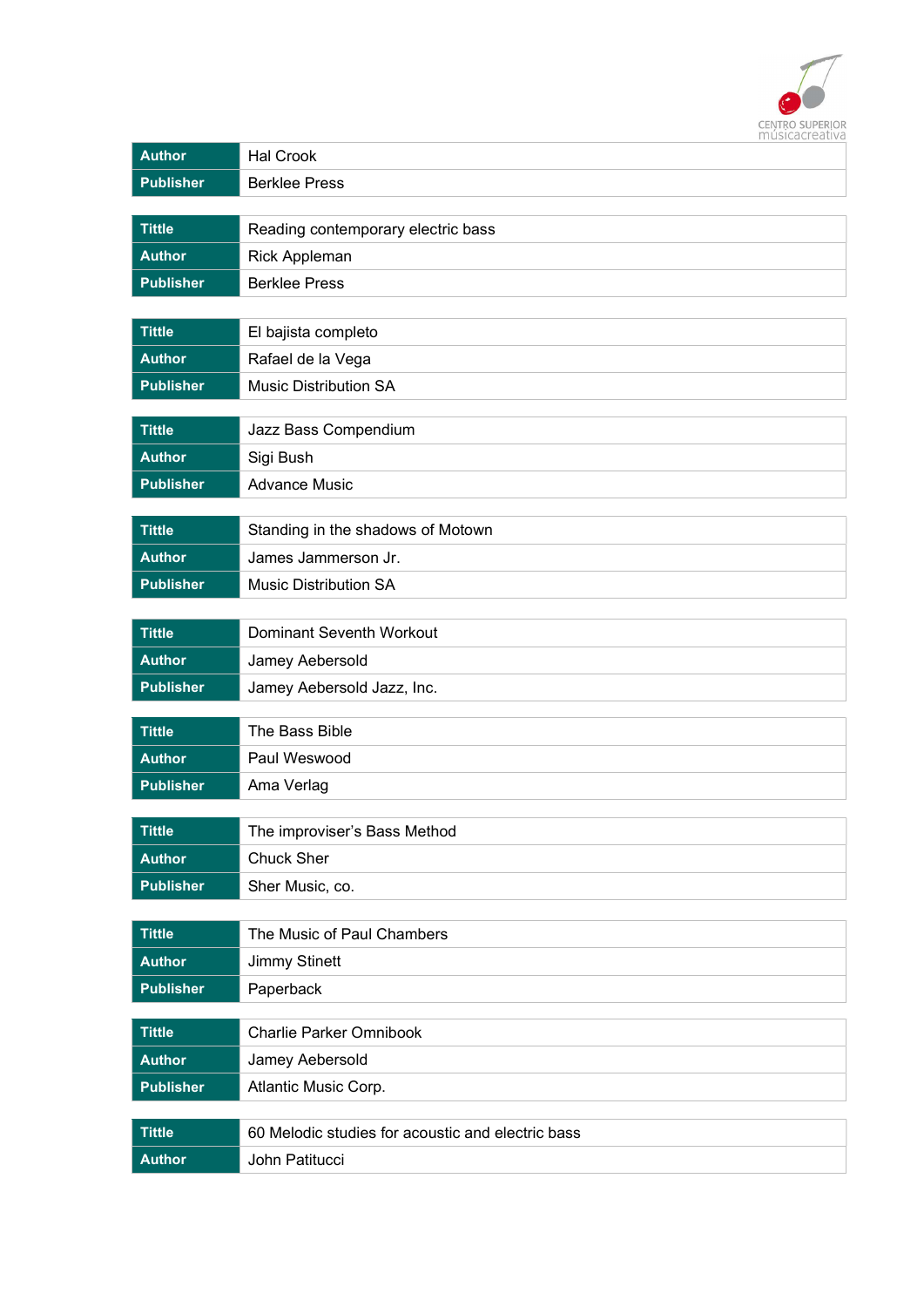

| <b>Author</b>                                                                                                                                                                                    | 1114916461641174<br><b>Hal Crook</b>                                                                                                                                                                                                                          |
|--------------------------------------------------------------------------------------------------------------------------------------------------------------------------------------------------|---------------------------------------------------------------------------------------------------------------------------------------------------------------------------------------------------------------------------------------------------------------|
| <b>Publisher</b>                                                                                                                                                                                 | <b>Berklee Press</b>                                                                                                                                                                                                                                          |
|                                                                                                                                                                                                  |                                                                                                                                                                                                                                                               |
| <b>Tittle</b>                                                                                                                                                                                    | Reading contemporary electric bass                                                                                                                                                                                                                            |
| <b>Author</b>                                                                                                                                                                                    | <b>Rick Appleman</b>                                                                                                                                                                                                                                          |
| <b>Publisher</b>                                                                                                                                                                                 | <b>Berklee Press</b>                                                                                                                                                                                                                                          |
|                                                                                                                                                                                                  |                                                                                                                                                                                                                                                               |
| <b>Tittle</b>                                                                                                                                                                                    | El bajista completo                                                                                                                                                                                                                                           |
| <b>Author</b>                                                                                                                                                                                    | Rafael de la Vega                                                                                                                                                                                                                                             |
| <b>Publisher</b>                                                                                                                                                                                 | <b>Music Distribution SA</b>                                                                                                                                                                                                                                  |
|                                                                                                                                                                                                  |                                                                                                                                                                                                                                                               |
|                                                                                                                                                                                                  |                                                                                                                                                                                                                                                               |
|                                                                                                                                                                                                  |                                                                                                                                                                                                                                                               |
|                                                                                                                                                                                                  |                                                                                                                                                                                                                                                               |
| <b>Tittle</b>                                                                                                                                                                                    | Standing in the shadows of Motown                                                                                                                                                                                                                             |
| <b>Author</b>                                                                                                                                                                                    | James Jammerson Jr.                                                                                                                                                                                                                                           |
| <b>Publisher</b>                                                                                                                                                                                 | <b>Music Distribution SA</b>                                                                                                                                                                                                                                  |
|                                                                                                                                                                                                  |                                                                                                                                                                                                                                                               |
| <b>Tittle</b>                                                                                                                                                                                    | Dominant Seventh Workout                                                                                                                                                                                                                                      |
| <b>Author</b>                                                                                                                                                                                    | Jamey Aebersold                                                                                                                                                                                                                                               |
| <b>Publisher</b>                                                                                                                                                                                 | Jamey Aebersold Jazz, Inc.                                                                                                                                                                                                                                    |
|                                                                                                                                                                                                  |                                                                                                                                                                                                                                                               |
|                                                                                                                                                                                                  |                                                                                                                                                                                                                                                               |
|                                                                                                                                                                                                  |                                                                                                                                                                                                                                                               |
|                                                                                                                                                                                                  |                                                                                                                                                                                                                                                               |
| <b>Tittle</b>                                                                                                                                                                                    | The improviser's Bass Method                                                                                                                                                                                                                                  |
| <b>Author</b>                                                                                                                                                                                    | Chuck Sher                                                                                                                                                                                                                                                    |
| <b>Publisher</b>                                                                                                                                                                                 | Sher Music, co.                                                                                                                                                                                                                                               |
|                                                                                                                                                                                                  |                                                                                                                                                                                                                                                               |
| <b>Tittle</b>                                                                                                                                                                                    | The Music of Paul Chambers                                                                                                                                                                                                                                    |
| <b>Author</b>                                                                                                                                                                                    | <b>Jimmy Stinett</b>                                                                                                                                                                                                                                          |
| <b>Publisher</b>                                                                                                                                                                                 | Paperback                                                                                                                                                                                                                                                     |
|                                                                                                                                                                                                  |                                                                                                                                                                                                                                                               |
|                                                                                                                                                                                                  |                                                                                                                                                                                                                                                               |
|                                                                                                                                                                                                  |                                                                                                                                                                                                                                                               |
|                                                                                                                                                                                                  |                                                                                                                                                                                                                                                               |
|                                                                                                                                                                                                  |                                                                                                                                                                                                                                                               |
|                                                                                                                                                                                                  |                                                                                                                                                                                                                                                               |
| <b>Tittle</b><br><b>Author</b><br><b>Publisher</b><br><b>Tittle</b><br><b>Author</b><br><b>Publisher</b><br><b>Tittle</b><br><b>Author</b><br><b>Publisher</b><br><b>Tittle</b><br><b>Author</b> | Jazz Bass Compendium<br>Sigi Bush<br><b>Advance Music</b><br>The Bass Bible<br>Paul Weswood<br>Ama Verlag<br><b>Charlie Parker Omnibook</b><br>Jamey Aebersold<br>Atlantic Music Corp.<br>60 Melodic studies for acoustic and electric bass<br>John Patitucci |